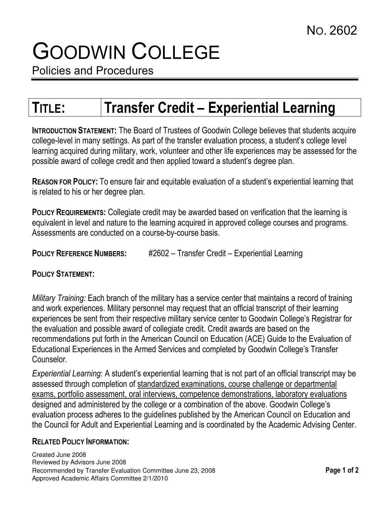# GOODWIN COLLEGE

Policies and Procedures

# TITLE: Transfer Credit – Experiential Learning

INTRODUCTION STATEMENT: The Board of Trustees of Goodwin College believes that students acquire college-level in many settings. As part of the transfer evaluation process, a student's college level learning acquired during military, work, volunteer and other life experiences may be assessed for the possible award of college credit and then applied toward a student's degree plan.

REASON FOR POLICY: To ensure fair and equitable evaluation of a student's experiential learning that is related to his or her degree plan.

POLICY REQUIREMENTS: Collegiate credit may be awarded based on verification that the learning is equivalent in level and nature to the learning acquired in approved college courses and programs. Assessments are conducted on a course-by-course basis.

POLICY REFERENCE NUMBERS: #2602 – Transfer Credit – Experiential Learning

## POLICY STATEMENT:

Military Training: Each branch of the military has a service center that maintains a record of training and work experiences. Military personnel may request that an official transcript of their learning experiences be sent from their respective military service center to Goodwin College's Registrar for the evaluation and possible award of collegiate credit. Credit awards are based on the recommendations put forth in the American Council on Education (ACE) Guide to the Evaluation of Educational Experiences in the Armed Services and completed by Goodwin College's Transfer Counselor.

Experiential Learning: A student's experiential learning that is not part of an official transcript may be assessed through completion of standardized examinations, course challenge or departmental exams, portfolio assessment, oral interviews, competence demonstrations, laboratory evaluations designed and administered by the college or a combination of the above. Goodwin College's evaluation process adheres to the guidelines published by the American Council on Education and the Council for Adult and Experiential Learning and is coordinated by the Academic Advising Center.

#### RELATED POLICY INFORMATION:

Created June 2008 Reviewed by Advisors June 2008 Recommended by Transfer Evaluation Committee June 23, 2008 Page 1 of 2 Approved Academic Affairs Committee 2/1/2010